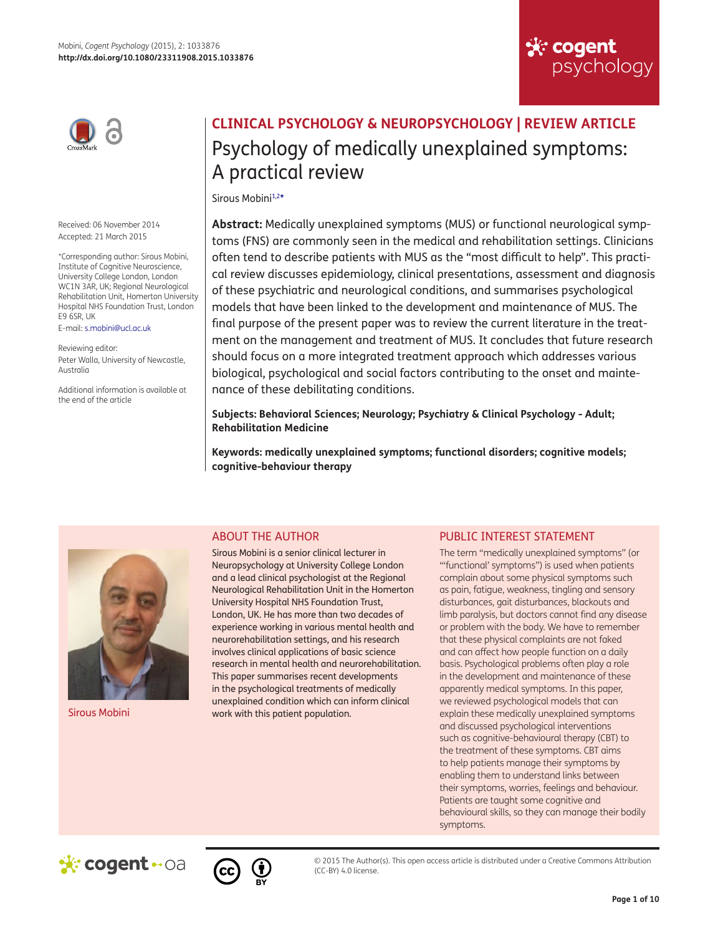

Received: 06 November 2014 Accepted: 21 March 2015

<span id="page-0-0"></span>\*Corresponding author: Sirous Mobini, Institute of Cognitive Neuroscience, University College London, London WC1N 3AR, UK; Regional Neurological Rehabilitation Unit, Homerton University Hospital NHS Foundation Trust, London E9 6SR, UK E-mail: [s.mobini@ucl.ac.uk](mailto:s.mobini@ucl.ac.uk)

Reviewing editor: Peter Walla, University of Newcastle, Australia

Additional information is available at the end of the article

# **CLINICAL PSYCHOLOGY & NEUROPSYCHOLOGY | REVIEW ARTICLE** Psychology of medically unexplained symptoms: A practical review

<span id="page-0-2"></span><span id="page-0-1"></span>Sirous Mobini<sup>[1,](#page-7-0)[2](#page-7-1)[\\*](#page-0-0)</sup>

**Abstract:** Medically unexplained symptoms (MUS) or functional neurological symptoms (FNS) are commonly seen in the medical and rehabilitation settings. Clinicians often tend to describe patients with MUS as the "most difficult to help". This practical review discusses epidemiology, clinical presentations, assessment and diagnosis of these psychiatric and neurological conditions, and summarises psychological models that have been linked to the development and maintenance of MUS. The final purpose of the present paper was to review the current literature in the treatment on the management and treatment of MUS. It concludes that future research should focus on a more integrated treatment approach which addresses various biological, psychological and social factors contributing to the onset and maintenance of these debilitating conditions.

**Subjects: Behavioral Sciences; Neurology; Psychiatry & Clinical Psychology - Adult; Rehabilitation Medicine**

**Keywords: medically unexplained symptoms; functional disorders; cognitive models; cognitive-behaviour therapy**



Sirous Mobini

# ABOUT THE AUTHOR

Sirous Mobini is a senior clinical lecturer in Neuropsychology at University College London and a lead clinical psychologist at the Regional Neurological Rehabilitation Unit in the Homerton University Hospital NHS Foundation Trust, London, UK. He has more than two decades of experience working in various mental health and neurorehabilitation settings, and his research involves clinical applications of basic science research in mental health and neurorehabilitation. This paper summarises recent developments in the psychological treatments of medically unexplained condition which can inform clinical work with this patient population.

# PUBLIC INTEREST STATEMENT

**ু** cogent

psychology

The term "medically unexplained symptoms" (or "'functional' symptoms") is used when patients complain about some physical symptoms such as pain, fatigue, weakness, tingling and sensory disturbances, gait disturbances, blackouts and limb paralysis, but doctors cannot find any disease or problem with the body. We have to remember that these physical complaints are not faked and can affect how people function on a daily basis. Psychological problems often play a role in the development and maintenance of these apparently medical symptoms. In this paper, we reviewed psychological models that can explain these medically unexplained symptoms and discussed psychological interventions such as cognitive-behavioural therapy (CBT) to the treatment of these symptoms. CBT aims to help patients manage their symptoms by enabling them to understand links between their symptoms, worries, feelings and behaviour. Patients are taught some cognitive and behavioural skills, so they can manage their bodily symptoms.





© 2015 The Author(s). This open access article is distributed under a Creative Commons Attribution (CC-BY) 4.0 license.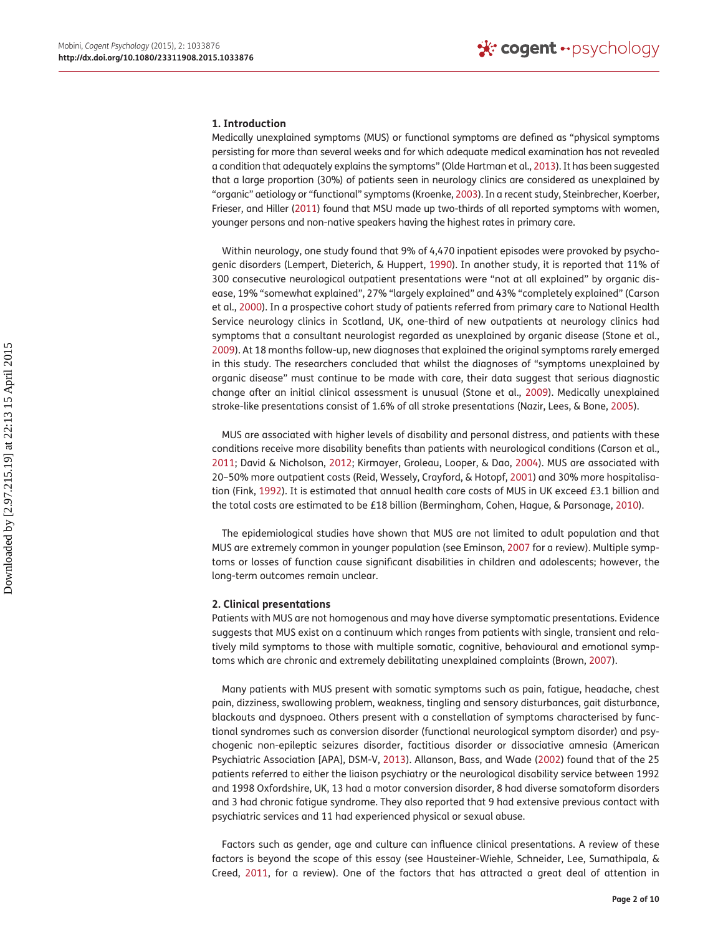## **1. Introduction**

<span id="page-1-14"></span><span id="page-1-11"></span>Medically unexplained symptoms (MUS) or functional symptoms are defined as "physical symptoms persisting for more than several weeks and for which adequate medical examination has not revealed a condition that adequately explains the symptoms" (Olde Hartman et al., [2013\)](#page-9-0). It has been suggested that a large proportion (30%) of patients seen in neurology clinics are considered as unexplained by "organic" aetiology or "functional" symptoms (Kroenke, [2003\)](#page-8-0). In a recent study, Steinbrecher, Koerber, Frieser, and Hiller [\(2011](#page-9-1)) found that MSU made up two-thirds of all reported symptoms with women, younger persons and non-native speakers having the highest rates in primary care.

<span id="page-1-16"></span><span id="page-1-12"></span><span id="page-1-4"></span>Within neurology, one study found that 9% of 4,470 inpatient episodes were provoked by psychogenic disorders (Lempert, Dieterich, & Huppert, [1990\)](#page-8-1). In another study, it is reported that 11% of 300 consecutive neurological outpatient presentations were "not at all explained" by organic disease, 19% "somewhat explained", 27% "largely explained" and 43% "completely explained" (Carson et al., [2000](#page-8-2)). In a prospective cohort study of patients referred from primary care to National Health Service neurology clinics in Scotland, UK, one-third of new outpatients at neurology clinics had symptoms that a consultant neurologist regarded as unexplained by organic disease (Stone et al., [2009](#page-9-2)). At 18 months follow-up, new diagnoses that explained the original symptoms rarely emerged in this study. The researchers concluded that whilst the diagnoses of "symptoms unexplained by organic disease" must continue to be made with care, their data suggest that serious diagnostic change after an initial clinical assessment is unusual (Stone et al., [2009](#page-9-2)). Medically unexplained stroke-like presentations consist of 1.6% of all stroke presentations (Nazir, Lees, & Bone, [2005\)](#page-9-3).

<span id="page-1-17"></span><span id="page-1-15"></span><span id="page-1-13"></span><span id="page-1-10"></span><span id="page-1-6"></span><span id="page-1-5"></span>MUS are associated with higher levels of disability and personal distress, and patients with these conditions receive more disability benefits than patients with neurological conditions (Carson et al., [2011](#page-8-3); David & Nicholson, [2012;](#page-8-4) Kirmayer, Groleau, Looper, & Dao, [2004\)](#page-8-5). MUS are associated with 20–50% more outpatient costs (Reid, Wessely, Crayford, & Hotopf, [2001](#page-9-4)) and 30% more hospitalisation (Fink, [1992](#page-8-6)). It is estimated that annual health care costs of MUS in UK exceed £3.1 billion and the total costs are estimated to be £18 billion (Bermingham, Cohen, Hague, & Parsonage, [2010](#page-8-7)).

<span id="page-1-8"></span><span id="page-1-7"></span><span id="page-1-2"></span>The epidemiological studies have shown that MUS are not limited to adult population and that MUS are extremely common in younger population (see Eminson, [2007](#page-8-8) for a review). Multiple symptoms or losses of function cause significant disabilities in children and adolescents; however, the long-term outcomes remain unclear.

## **2. Clinical presentations**

Patients with MUS are not homogenous and may have diverse symptomatic presentations. Evidence suggests that MUS exist on a continuum which ranges from patients with single, transient and relatively mild symptoms to those with multiple somatic, cognitive, behavioural and emotional symptoms which are chronic and extremely debilitating unexplained complaints (Brown, [2007](#page-8-9)).

<span id="page-1-3"></span><span id="page-1-1"></span><span id="page-1-0"></span>Many patients with MUS present with somatic symptoms such as pain, fatigue, headache, chest pain, dizziness, swallowing problem, weakness, tingling and sensory disturbances, gait disturbance, blackouts and dyspnoea. Others present with a constellation of symptoms characterised by functional syndromes such as conversion disorder (functional neurological symptom disorder) and psychogenic non-epileptic seizures disorder, factitious disorder or dissociative amnesia (American Psychiatric Association [APA], DSM-V, [2013\)](#page-8-10). Allanson, Bass, and Wade ([2002](#page-7-2)) found that of the 25 patients referred to either the liaison psychiatry or the neurological disability service between 1992 and 1998 Oxfordshire, UK, 13 had a motor conversion disorder, 8 had diverse somatoform disorders and 3 had chronic fatigue syndrome. They also reported that 9 had extensive previous contact with psychiatric services and 11 had experienced physical or sexual abuse.

<span id="page-1-9"></span>Factors such as gender, age and culture can influence clinical presentations. A review of these factors is beyond the scope of this essay (see Hausteiner-Wiehle, Schneider, Lee, Sumathipala, & Creed, [2011,](#page-8-11) for a review). One of the factors that has attracted a great deal of attention in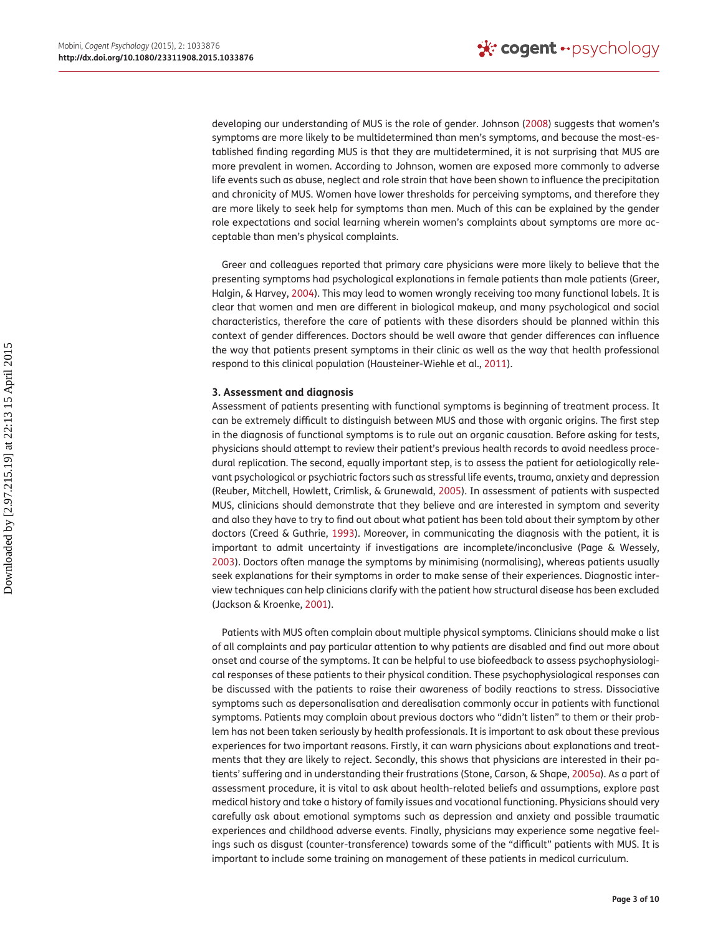<span id="page-2-3"></span>developing our understanding of MUS is the role of gender. Johnson [\(2008](#page-8-12)) suggests that women's symptoms are more likely to be multidetermined than men's symptoms, and because the most-established finding regarding MUS is that they are multidetermined, it is not surprising that MUS are more prevalent in women. According to Johnson, women are exposed more commonly to adverse life events such as abuse, neglect and role strain that have been shown to influence the precipitation and chronicity of MUS. Women have lower thresholds for perceiving symptoms, and therefore they are more likely to seek help for symptoms than men. Much of this can be explained by the gender role expectations and social learning wherein women's complaints about symptoms are more acceptable than men's physical complaints.

<span id="page-2-1"></span>Greer and colleagues reported that primary care physicians were more likely to believe that the presenting symptoms had psychological explanations in female patients than male patients (Greer, Halgin, & Harvey, [2004\)](#page-8-13). This may lead to women wrongly receiving too many functional labels. It is clear that women and men are different in biological makeup, and many psychological and social characteristics, therefore the care of patients with these disorders should be planned within this context of gender differences. Doctors should be well aware that gender differences can influence the way that patients present symptoms in their clinic as well as the way that health professional respond to this clinical population (Hausteiner-Wiehle et al., [2011](#page-8-11)).

# **3. Assessment and diagnosis**

<span id="page-2-5"></span>Assessment of patients presenting with functional symptoms is beginning of treatment process. It can be extremely difficult to distinguish between MUS and those with organic origins. The first step in the diagnosis of functional symptoms is to rule out an organic causation. Before asking for tests, physicians should attempt to review their patient's previous health records to avoid needless procedural replication. The second, equally important step, is to assess the patient for aetiologically relevant psychological or psychiatric factors such as stressful life events, trauma, anxiety and depression (Reuber, Mitchell, Howlett, Crimlisk, & Grunewald, [2005\)](#page-9-5). In assessment of patients with suspected MUS, clinicians should demonstrate that they believe and are interested in symptom and severity and also they have to try to find out about what patient has been told about their symptom by other doctors (Creed & Guthrie, [1993](#page-8-14)). Moreover, in communicating the diagnosis with the patient, it is important to admit uncertainty if investigations are incomplete/inconclusive (Page & Wessely, [2003](#page-9-6)). Doctors often manage the symptoms by minimising (normalising), whereas patients usually seek explanations for their symptoms in order to make sense of their experiences. Diagnostic interview techniques can help clinicians clarify with the patient how structural disease has been excluded (Jackson & Kroenke, [2001](#page-8-15)).

<span id="page-2-6"></span><span id="page-2-4"></span><span id="page-2-2"></span><span id="page-2-0"></span>Patients with MUS often complain about multiple physical symptoms. Clinicians should make a list of all complaints and pay particular attention to why patients are disabled and find out more about onset and course of the symptoms. It can be helpful to use biofeedback to assess psychophysiological responses of these patients to their physical condition. These psychophysiological responses can be discussed with the patients to raise their awareness of bodily reactions to stress. Dissociative symptoms such as depersonalisation and derealisation commonly occur in patients with functional symptoms. Patients may complain about previous doctors who "didn't listen" to them or their problem has not been taken seriously by health professionals. It is important to ask about these previous experiences for two important reasons. Firstly, it can warn physicians about explanations and treatments that they are likely to reject. Secondly, this shows that physicians are interested in their patients' suffering and in understanding their frustrations (Stone, Carson, & Shape, [2005a\)](#page-9-7). As a part of assessment procedure, it is vital to ask about health-related beliefs and assumptions, explore past medical history and take a history of family issues and vocational functioning. Physicians should very carefully ask about emotional symptoms such as depression and anxiety and possible traumatic experiences and childhood adverse events. Finally, physicians may experience some negative feelings such as disgust (counter-transference) towards some of the "difficult" patients with MUS. It is important to include some training on management of these patients in medical curriculum.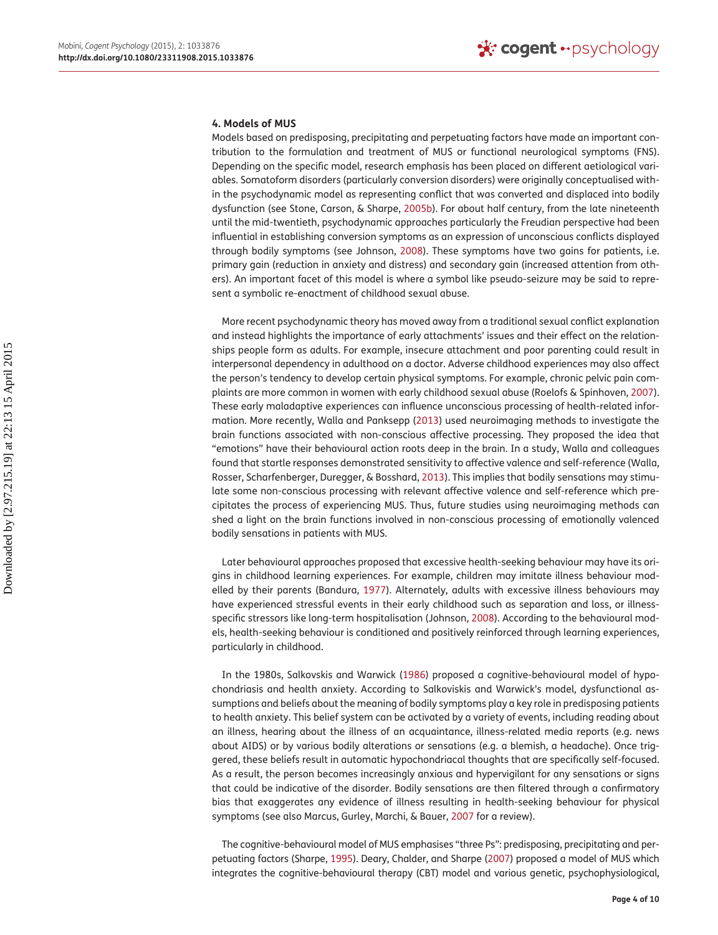#### **4. Models of MUS**

<span id="page-3-6"></span>Models based on predisposing, precipitating and perpetuating factors have made an important contribution to the formulation and treatment of MUS or functional neurological symptoms (FNS). Depending on the specific model, research emphasis has been placed on different aetiological variables. Somatoform disorders (particularly conversion disorders) were originally conceptualised within the psychodynamic model as representing conflict that was converted and displaced into bodily dysfunction (see Stone, Carson, & Sharpe, [2005b\)](#page-9-8). For about half century, from the late nineteenth until the mid-twentieth, psychodynamic approaches particularly the Freudian perspective had been influential in establishing conversion symptoms as an expression of unconscious conflicts displayed through bodily symptoms (see Johnson, [2008\)](#page-8-12). These symptoms have two gains for patients, i.e. primary gain (reduction in anxiety and distress) and secondary gain (increased attention from others). An important facet of this model is where a symbol like pseudo-seizure may be said to represent a symbolic re-enactment of childhood sexual abuse.

<span id="page-3-7"></span><span id="page-3-3"></span>More recent psychodynamic theory has moved away from a traditional sexual conflict explanation and instead highlights the importance of early attachments' issues and their effect on the relationships people form as adults. For example, insecure attachment and poor parenting could result in interpersonal dependency in adulthood on a doctor. Adverse childhood experiences may also affect the person's tendency to develop certain physical symptoms. For example, chronic pelvic pain complaints are more common in women with early childhood sexual abuse (Roelofs & Spinhoven, [2007\)](#page-9-9). These early maladaptive experiences can influence unconscious processing of health-related information. More recently, Walla and Panksepp [\(2013\)](#page-9-10) used neuroimaging methods to investigate the brain functions associated with non-conscious affective processing. They proposed the idea that "emotions" have their behavioural action roots deep in the brain. In a study, Walla and colleagues found that startle responses demonstrated sensitivity to affective valence and self-reference (Walla, Rosser, Scharfenberger, Duregger, & Bosshard, [2013](#page-9-11)). This implies that bodily sensations may stimulate some non-conscious processing with relevant affective valence and self-reference which precipitates the process of experiencing MUS. Thus, future studies using neuroimaging methods can shed a light on the brain functions involved in non-conscious processing of emotionally valenced bodily sensations in patients with MUS.

<span id="page-3-8"></span><span id="page-3-0"></span>Later behavioural approaches proposed that excessive health-seeking behaviour may have its origins in childhood learning experiences. For example, children may imitate illness behaviour modelled by their parents (Bandura, [1977\)](#page-8-16). Alternately, adults with excessive illness behaviours may have experienced stressful events in their early childhood such as separation and loss, or illnessspecific stressors like long-term hospitalisation (Johnson, [2008\)](#page-8-12). According to the behavioural models, health-seeking behaviour is conditioned and positively reinforced through learning experiences, particularly in childhood.

<span id="page-3-4"></span>In the 1980s, Salkovskis and Warwick ([1986](#page-9-12)) proposed a cognitive-behavioural model of hypochondriasis and health anxiety. According to Salkoviskis and Warwick's model, dysfunctional assumptions and beliefs about the meaning of bodily symptoms play a key role in predisposing patients to health anxiety. This belief system can be activated by a variety of events, including reading about an illness, hearing about the illness of an acquaintance, illness-related media reports (e.g. news about AIDS) or by various bodily alterations or sensations (e.g. a blemish, a headache). Once triggered, these beliefs result in automatic hypochondriacal thoughts that are specifically self-focused. As a result, the person becomes increasingly anxious and hypervigilant for any sensations or signs that could be indicative of the disorder. Bodily sensations are then filtered through a confirmatory bias that exaggerates any evidence of illness resulting in health-seeking behaviour for physical symptoms (see also Marcus, Gurley, Marchi, & Bauer, [2007](#page-8-17) for a review).

<span id="page-3-5"></span><span id="page-3-2"></span><span id="page-3-1"></span>The cognitive-behavioural model of MUS emphasises "three Ps": predisposing, precipitating and perpetuating factors (Sharpe, [1995\)](#page-9-13). Deary, Chalder, and Sharpe [\(2007](#page-8-18)) proposed a model of MUS which integrates the cognitive-behavioural therapy (CBT) model and various genetic, psychophysiological,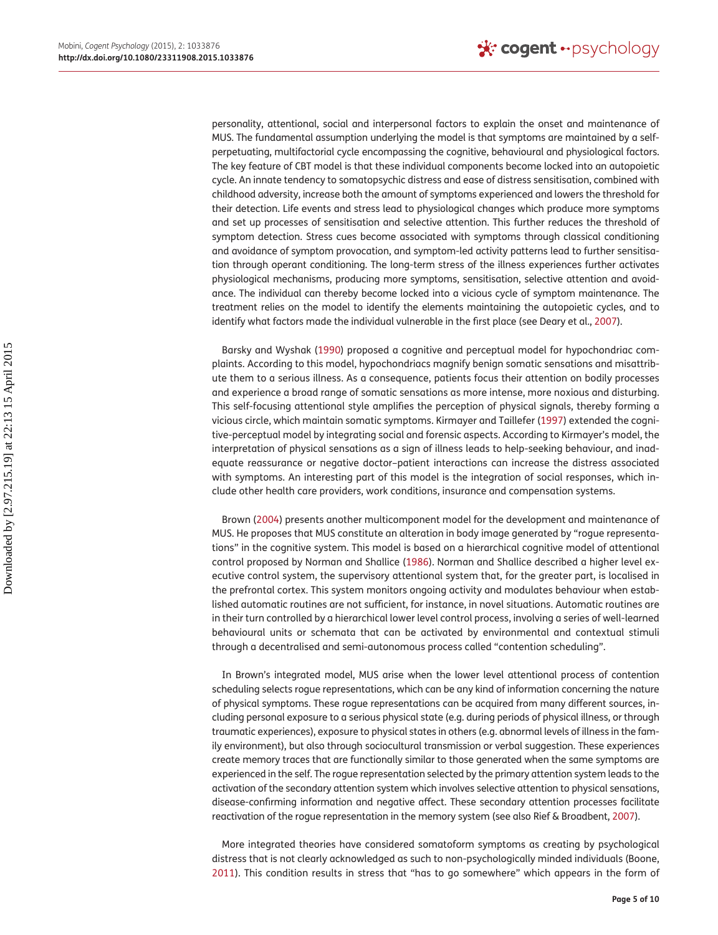personality, attentional, social and interpersonal factors to explain the onset and maintenance of MUS. The fundamental assumption underlying the model is that symptoms are maintained by a selfperpetuating, multifactorial cycle encompassing the cognitive, behavioural and physiological factors. The key feature of CBT model is that these individual components become locked into an autopoietic cycle. An innate tendency to somatopsychic distress and ease of distress sensitisation, combined with childhood adversity, increase both the amount of symptoms experienced and lowers the threshold for their detection. Life events and stress lead to physiological changes which produce more symptoms and set up processes of sensitisation and selective attention. This further reduces the threshold of symptom detection. Stress cues become associated with symptoms through classical conditioning and avoidance of symptom provocation, and symptom-led activity patterns lead to further sensitisation through operant conditioning. The long-term stress of the illness experiences further activates physiological mechanisms, producing more symptoms, sensitisation, selective attention and avoidance. The individual can thereby become locked into a vicious cycle of symptom maintenance. The treatment relies on the model to identify the elements maintaining the autopoietic cycles, and to identify what factors made the individual vulnerable in the first place (see Deary et al., [2007\)](#page-8-18).

<span id="page-4-3"></span><span id="page-4-0"></span>Barsky and Wyshak ([1990](#page-8-19)) proposed a cognitive and perceptual model for hypochondriac complaints. According to this model, hypochondriacs magnify benign somatic sensations and misattribute them to a serious illness. As a consequence, patients focus their attention on bodily processes and experience a broad range of somatic sensations as more intense, more noxious and disturbing. This self-focusing attentional style amplifies the perception of physical signals, thereby forming a vicious circle, which maintain somatic symptoms. Kirmayer and Taillefer ([1997](#page-8-20)) extended the cognitive-perceptual model by integrating social and forensic aspects. According to Kirmayer's model, the interpretation of physical sensations as a sign of illness leads to help-seeking behaviour, and inadequate reassurance or negative doctor–patient interactions can increase the distress associated with symptoms. An interesting part of this model is the integration of social responses, which include other health care providers, work conditions, insurance and compensation systems.

<span id="page-4-4"></span><span id="page-4-2"></span>Brown ([2004](#page-8-21)) presents another multicomponent model for the development and maintenance of MUS. He proposes that MUS constitute an alteration in body image generated by "rogue representations" in the cognitive system. This model is based on a hierarchical cognitive model of attentional control proposed by Norman and Shallice ([1986\)](#page-9-14). Norman and Shallice described a higher level executive control system, the supervisory attentional system that, for the greater part, is localised in the prefrontal cortex. This system monitors ongoing activity and modulates behaviour when established automatic routines are not sufficient, for instance, in novel situations. Automatic routines are in their turn controlled by a hierarchical lower level control process, involving a series of well-learned behavioural units or schemata that can be activated by environmental and contextual stimuli through a decentralised and semi-autonomous process called "contention scheduling".

In Brown's integrated model, MUS arise when the lower level attentional process of contention scheduling selects rogue representations, which can be any kind of information concerning the nature of physical symptoms. These rogue representations can be acquired from many different sources, including personal exposure to a serious physical state (e.g. during periods of physical illness, or through traumatic experiences), exposure to physical states in others (e.g. abnormal levels of illness in the family environment), but also through sociocultural transmission or verbal suggestion. These experiences create memory traces that are functionally similar to those generated when the same symptoms are experienced in the self. The rogue representation selected by the primary attention system leads to the activation of the secondary attention system which involves selective attention to physical sensations, disease-confirming information and negative affect. These secondary attention processes facilitate reactivation of the rogue representation in the memory system (see also Rief & Broadbent, [2007\)](#page-9-15).

<span id="page-4-5"></span><span id="page-4-1"></span>More integrated theories have considered somatoform symptoms as creating by psychological distress that is not clearly acknowledged as such to non-psychologically minded individuals (Boone, [2011](#page-8-22)). This condition results in stress that "has to go somewhere" which appears in the form of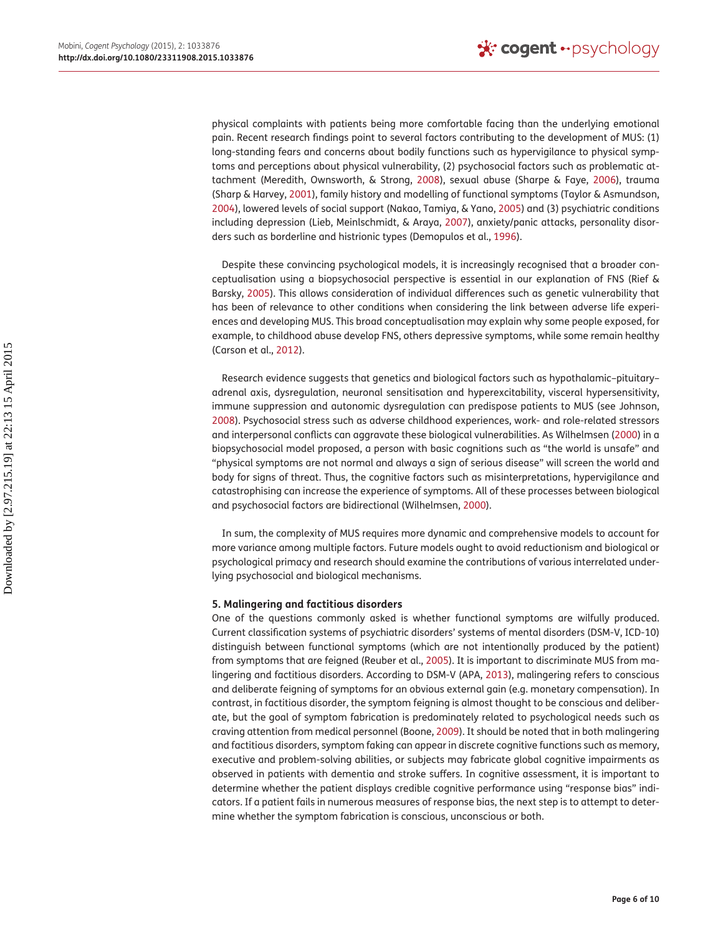<span id="page-5-8"></span><span id="page-5-7"></span><span id="page-5-4"></span>physical complaints with patients being more comfortable facing than the underlying emotional pain. Recent research findings point to several factors contributing to the development of MUS: (1) long-standing fears and concerns about bodily functions such as hypervigilance to physical symptoms and perceptions about physical vulnerability, (2) psychosocial factors such as problematic attachment (Meredith, Ownsworth, & Strong, [2008](#page-9-16)), sexual abuse (Sharpe & Faye, [2006\)](#page-9-17), trauma (Sharp & Harvey, [2001\)](#page-9-18), family history and modelling of functional symptoms (Taylor & Asmundson, [2004](#page-9-19)), lowered levels of social support (Nakao, Tamiya, & Yano, [2005\)](#page-9-20) and (3) psychiatric conditions including depression (Lieb, Meinlschmidt, & Araya, [2007](#page-8-23)), anxiety/panic attacks, personality disorders such as borderline and histrionic types (Demopulos et al., [1996](#page-8-24)).

<span id="page-5-9"></span><span id="page-5-6"></span><span id="page-5-5"></span><span id="page-5-3"></span><span id="page-5-2"></span>Despite these convincing psychological models, it is increasingly recognised that a broader conceptualisation using a biopsychosocial perspective is essential in our explanation of FNS (Rief & Barsky, [2005](#page-9-21)). This allows consideration of individual differences such as genetic vulnerability that has been of relevance to other conditions when considering the link between adverse life experiences and developing MUS. This broad conceptualisation may explain why some people exposed, for example, to childhood abuse develop FNS, others depressive symptoms, while some remain healthy (Carson et al., [2012\)](#page-8-25).

<span id="page-5-10"></span><span id="page-5-1"></span>Research evidence suggests that genetics and biological factors such as hypothalamic–pituitary– adrenal axis, dysregulation, neuronal sensitisation and hyperexcitability, visceral hypersensitivity, immune suppression and autonomic dysregulation can predispose patients to MUS (see Johnson, [2008](#page-8-12)). Psychosocial stress such as adverse childhood experiences, work- and role-related stressors and interpersonal conflicts can aggravate these biological vulnerabilities. As Wilhelmsen ([2000](#page-9-22)) in a biopsychosocial model proposed, a person with basic cognitions such as "the world is unsafe" and "physical symptoms are not normal and always a sign of serious disease" will screen the world and body for signs of threat. Thus, the cognitive factors such as misinterpretations, hypervigilance and catastrophising can increase the experience of symptoms. All of these processes between biological and psychosocial factors are bidirectional (Wilhelmsen, [2000\)](#page-9-22).

In sum, the complexity of MUS requires more dynamic and comprehensive models to account for more variance among multiple factors. Future models ought to avoid reductionism and biological or psychological primacy and research should examine the contributions of various interrelated underlying psychosocial and biological mechanisms.

# **5. Malingering and factitious disorders**

<span id="page-5-0"></span>One of the questions commonly asked is whether functional symptoms are wilfully produced. Current classification systems of psychiatric disorders' systems of mental disorders (DSM-V, ICD-10) distinguish between functional symptoms (which are not intentionally produced by the patient) from symptoms that are feigned (Reuber et al., [2005\)](#page-9-5). It is important to discriminate MUS from malingering and factitious disorders. According to DSM-V (APA, [2013\)](#page-8-10), malingering refers to conscious and deliberate feigning of symptoms for an obvious external gain (e.g. monetary compensation). In contrast, in factitious disorder, the symptom feigning is almost thought to be conscious and deliberate, but the goal of symptom fabrication is predominately related to psychological needs such as craving attention from medical personnel (Boone, [2009\)](#page-8-26). It should be noted that in both malingering and factitious disorders, symptom faking can appear in discrete cognitive functions such as memory, executive and problem-solving abilities, or subjects may fabricate global cognitive impairments as observed in patients with dementia and stroke suffers. In cognitive assessment, it is important to determine whether the patient displays credible cognitive performance using "response bias" indicators. If a patient fails in numerous measures of response bias, the next step is to attempt to determine whether the symptom fabrication is conscious, unconscious or both.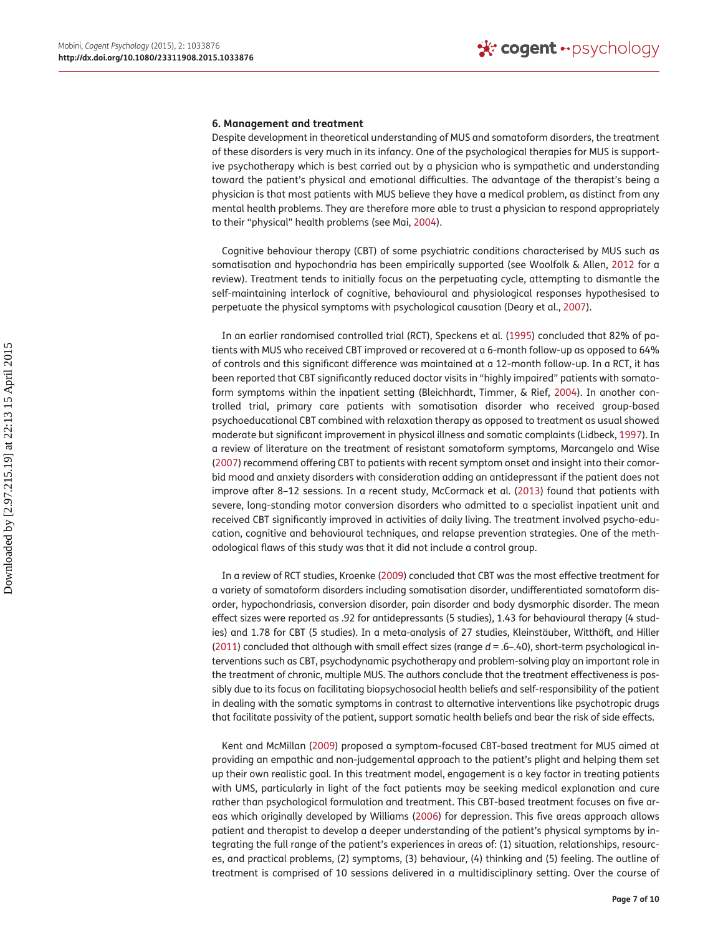## **6. Management and treatment**

Despite development in theoretical understanding of MUS and somatoform disorders, the treatment of these disorders is very much in its infancy. One of the psychological therapies for MUS is supportive psychotherapy which is best carried out by a physician who is sympathetic and understanding toward the patient's physical and emotional difficulties. The advantage of the therapist's being a physician is that most patients with MUS believe they have a medical problem, as distinct from any mental health problems. They are therefore more able to trust a physician to respond appropriately to their "physical" health problems (see Mai, [2004](#page-8-27)).

<span id="page-6-10"></span><span id="page-6-5"></span>Cognitive behaviour therapy (CBT) of some psychiatric conditions characterised by MUS such as somatisation and hypochondria has been empirically supported (see Woolfolk & Allen, [2012](#page-9-23) for a review). Treatment tends to initially focus on the perpetuating cycle, attempting to dismantle the self-maintaining interlock of cognitive, behavioural and physiological responses hypothesised to perpetuate the physical symptoms with psychological causation (Deary et al., [2007\)](#page-8-18).

<span id="page-6-8"></span><span id="page-6-4"></span><span id="page-6-0"></span>In an earlier randomised controlled trial (RCT), Speckens et al. [\(1995](#page-9-24)) concluded that 82% of patients with MUS who received CBT improved or recovered at a 6-month follow-up as opposed to 64% of controls and this significant difference was maintained at a 12-month follow-up. In a RCT, it has been reported that CBT significantly reduced doctor visits in "highly impaired" patients with somatoform symptoms within the inpatient setting (Bleichhardt, Timmer, & Rief, [2004\)](#page-8-28). In another controlled trial, primary care patients with somatisation disorder who received group-based psychoeducational CBT combined with relaxation therapy as opposed to treatment as usual showed moderate but significant improvement in physical illness and somatic complaints (Lidbeck, [1997](#page-8-29)). In a review of literature on the treatment of resistant somatoform symptoms, Marcangelo and Wise ([2007](#page-8-30)) recommend offering CBT to patients with recent symptom onset and insight into their comorbid mood and anxiety disorders with consideration adding an antidepressant if the patient does not improve after 8–12 sessions. In a recent study, McCormack et al. [\(2013\)](#page-9-25) found that patients with severe, long-standing motor conversion disorders who admitted to a specialist inpatient unit and received CBT significantly improved in activities of daily living. The treatment involved psycho-education, cognitive and behavioural techniques, and relapse prevention strategies. One of the methodological flaws of this study was that it did not include a control group.

<span id="page-6-7"></span><span id="page-6-6"></span><span id="page-6-3"></span><span id="page-6-2"></span>In a review of RCT studies, Kroenke ([2009\)](#page-8-31) concluded that CBT was the most effective treatment for a variety of somatoform disorders including somatisation disorder, undifferentiated somatoform disorder, hypochondriasis, conversion disorder, pain disorder and body dysmorphic disorder. The mean effect sizes were reported as .92 for antidepressants (5 studies), 1.43 for behavioural therapy (4 studies) and 1.78 for CBT (5 studies). In a meta-analysis of 27 studies, Kleinstäuber, Witthöft, and Hiller ([2011\)](#page-8-32) concluded that although with small effect sizes (range *d* = .6–.40), short-term psychological interventions such as CBT, psychodynamic psychotherapy and problem-solving play an important role in the treatment of chronic, multiple MUS. The authors conclude that the treatment effectiveness is possibly due to its focus on facilitating biopsychosocial health beliefs and self-responsibility of the patient in dealing with the somatic symptoms in contrast to alternative interventions like psychotropic drugs that facilitate passivity of the patient, support somatic health beliefs and bear the risk of side effects.

<span id="page-6-9"></span><span id="page-6-1"></span>Kent and McMillan ([2009](#page-8-33)) proposed a symptom-focused CBT-based treatment for MUS aimed at providing an empathic and non-judgemental approach to the patient's plight and helping them set up their own realistic goal. In this treatment model, engagement is a key factor in treating patients with UMS, particularly in light of the fact patients may be seeking medical explanation and cure rather than psychological formulation and treatment. This CBT-based treatment focuses on five areas which originally developed by Williams ([2006](#page-9-26)) for depression. This five areas approach allows patient and therapist to develop a deeper understanding of the patient's physical symptoms by integrating the full range of the patient's experiences in areas of: (1) situation, relationships, resources, and practical problems, (2) symptoms, (3) behaviour, (4) thinking and (5) feeling. The outline of treatment is comprised of 10 sessions delivered in a multidisciplinary setting. Over the course of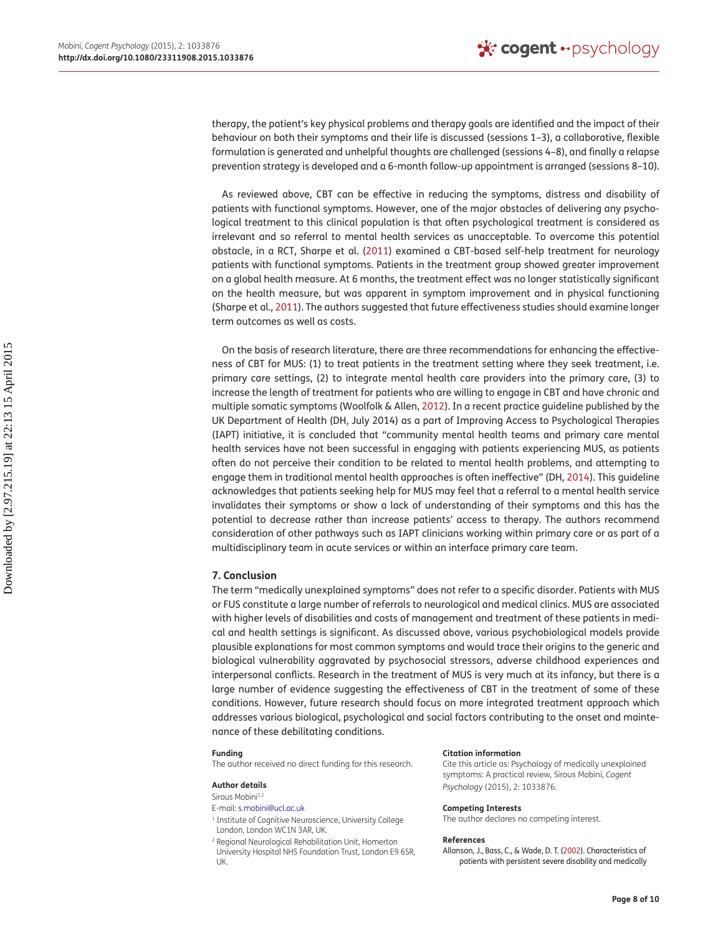therapy, the patient's key physical problems and therapy goals are identified and the impact of their behaviour on both their symptoms and their life is discussed (sessions 1–3), a collaborative, flexible formulation is generated and unhelpful thoughts are challenged (sessions 4–8), and finally a relapse prevention strategy is developed and a 6-month follow-up appointment is arranged (sessions 8–10).

<span id="page-7-4"></span>As reviewed above, CBT can be effective in reducing the symptoms, distress and disability of patients with functional symptoms. However, one of the major obstacles of delivering any psychological treatment to this clinical population is that often psychological treatment is considered as irrelevant and so referral to mental health services as unacceptable. To overcome this potential obstacle, in a RCT, Sharpe et al. ([2011](#page-9-27)) examined a CBT-based self-help treatment for neurology patients with functional symptoms. Patients in the treatment group showed greater improvement on a global health measure. At 6 months, the treatment effect was no longer statistically significant on the health measure, but was apparent in symptom improvement and in physical functioning (Sharpe et al., [2011](#page-9-27)). The authors suggested that future effectiveness studies should examine longer term outcomes as well as costs.

On the basis of research literature, there are three recommendations for enhancing the effectiveness of CBT for MUS: (1) to treat patients in the treatment setting where they seek treatment, i.e. primary care settings, (2) to integrate mental health care providers into the primary care, (3) to increase the length of treatment for patients who are willing to engage in CBT and have chronic and multiple somatic symptoms (Woolfolk & Allen, [2012](#page-9-23)). In a recent practice guideline published by the UK Department of Health (DH, July 2014) as a part of Improving Access to Psychological Therapies (IAPT) initiative, it is concluded that "community mental health teams and primary care mental health services have not been successful in engaging with patients experiencing MUS, as patients often do not perceive their condition to be related to mental health problems, and attempting to engage them in traditional mental health approaches is often ineffective" (DH, [2014\)](#page-8-34). This guideline acknowledges that patients seeking help for MUS may feel that a referral to a mental health service invalidates their symptoms or show a lack of understanding of their symptoms and this has the potential to decrease rather than increase patients' access to therapy. The authors recommend consideration of other pathways such as IAPT clinicians working within primary care or as part of a multidisciplinary team in acute services or within an interface primary care team.

# <span id="page-7-3"></span>**7. Conclusion**

The term "medically unexplained symptoms" does not refer to a specific disorder. Patients with MUS or FUS constitute a large number of referrals to neurological and medical clinics. MUS are associated with higher levels of disabilities and costs of management and treatment of these patients in medical and health settings is significant. As discussed above, various psychobiological models provide plausible explanations for most common symptoms and would trace their origins to the generic and biological vulnerability aggravated by psychosocial stressors, adverse childhood experiences and interpersonal conflicts. Research in the treatment of MUS is very much at its infancy, but there is a large number of evidence suggesting the effectiveness of CBT in the treatment of some of these conditions. However, future research should focus on more integrated treatment approach which addresses various biological, psychological and social factors contributing to the onset and maintenance of these debilitating conditions.

#### **Funding**

The author received no direct funding for this research.

#### **Author details**

<span id="page-7-1"></span><span id="page-7-0"></span>Sirous Mobini<sup>[1,](#page-0-1)[2](#page-0-2)</sup>

- E-mail: [s.mobini@ucl.ac.uk](mailto:s.mobini@ucl.ac.uk)
- <sup>1</sup> Institute of Cognitive Neuroscience, University College London, London WC1N 3AR, UK.

<sup>2</sup> Regional Neurological Rehabilitation Unit, Homerton University Hospital NHS Foundation Trust, London E9 6SR, UK.

#### **Citation information**

Cite this article as: Psychology of medically unexplained symptoms: A practical review, Sirous Mobini, *Cogent Psychology* (2015), 2: 1033876.

#### **Competing Interests**

The author declares no competing interest.

#### **References**

<span id="page-7-2"></span>Allanson, J., Bass, C., & Wade, D. T. [\(2002\)](#page-1-0). Characteristics of patients with persistent severe disability and medically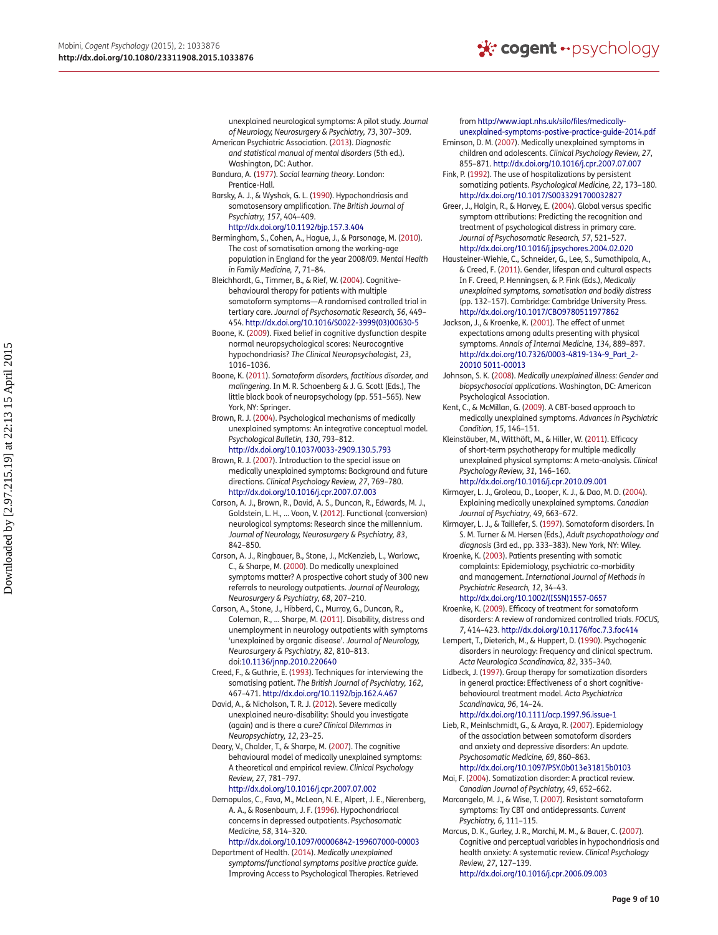- unexplained neurological symptoms: A pilot study. *Journal of Neurology, Neurosurgery & Psychiatry, 73*, 307–309. American Psychiatric Association. ([2013\)](#page-1-1). *Diagnostic*
- <span id="page-8-10"></span>*and statistical manual of mental disorders* (5th ed.). Washington, DC: Author.
- <span id="page-8-16"></span>Bandura, A. [\(1977](#page-3-0)). *Social learning theory*. London: Prentice-Hall.
- <span id="page-8-19"></span>Barsky, A. J., & Wyshak, G. L. [\(1990\)](#page-4-0). Hypochondriasis and somatosensory amplification. *The British Journal of Psychiatry, 157*, 404–409[.](http://dx.doi.org/10.1192/bjp.157.3.404) <http://dx.doi.org/10.1192/bjp.157.3.404>
- <span id="page-8-7"></span>Bermingham, S., Cohen, A., Hague, J., & Parsonage, M. [\(2010](#page-1-2)). The cost of somatisation among the working-age population in England for the year 2008/09. *Mental Health in Family Medicine, 7*, 71–84.
- <span id="page-8-28"></span>Bleichhardt, G., Timmer, B., & Rief, W. ([2004\)](#page-6-0). Cognitivebehavioural therapy for patients with multiple somatoform symptoms—A randomised controlled trial in tertiary care. *Journal of Psychosomatic Research, 56*, 449– 454. [http://dx.doi.org/10.1016/S0022-3999\(03\)00630-5](http://dx.doi.org/10.1016/S0022-3999(03)00630-5)
- <span id="page-8-26"></span>Boone, K. [\(2009\)](#page-5-0). Fixed belief in cognitive dysfunction despite normal neuropsychological scores: Neurocogntive hypochondriasis? *The Clinical Neuropsychologist, 23*, 1016–1036.
- <span id="page-8-22"></span>Boone, K. ([2011\)](#page-4-1). *Somatoform disorders, factitious disorder, and malingering*. In M. R. Schoenberg & J. G. Scott (Eds.), The little black book of neuropsychology (pp. 551–565). New York, NY: Springer.
- <span id="page-8-21"></span>Brown, R. J. ([2004\)](#page-4-2). Psychological mechanisms of medically unexplained symptoms: An integrative conceptual model. *Psychological Bulletin, 130*, 793–812[.](http://dx.doi.org/10.1037/0033-2909.130.5.793) <http://dx.doi.org/10.1037/0033-2909.130.5.793>
- <span id="page-8-9"></span>Brown, R. J. ([2007\)](#page-1-3). Introduction to the special issue on medically unexplained symptoms: Background and future directions. *Clinical Psychology Review, 27*, 769–780[.](http://dx.doi.org/10.1016/j.cpr.2007.07.003) <http://dx.doi.org/10.1016/j.cpr.2007.07.003>
- <span id="page-8-25"></span>Carson, A. J., Brown, R., David, A. S., Duncan, R., Edwards, M. J., Goldstein, L. H., … Voon, V. [\(2012\)](#page-5-1). Functional (conversion) neurological symptoms: Research since the millennium. *Journal of Neurology, Neurosurgery & Psychiatry, 83*, 842–850.
- <span id="page-8-2"></span>Carson, A. J., Ringbauer, B., Stone, J., McKenzieb, L., Warlowc, C., & Sharpe, M. ([2000\)](#page-1-4). Do medically unexplained symptoms matter? A prospective cohort study of 300 new referrals to neurology outpatients. *Journal of Neurology, Neurosurgery & Psychiatry, 68*, 207–210.
- <span id="page-8-3"></span>Carson, A., Stone, J., Hibberd, C., Murray, G., Duncan, R., Coleman, R., … Sharpe, M. ([2011\)](#page-1-5). Disability, distress and unemployment in neurology outpatients with symptoms 'unexplained by organic disease'. *Journal of Neurology, Neurosurgery & Psychiatry, 82*, 810–813. doi[:10.1136/jnnp.2010.220640](http://dx.doi.org/10.1136/jnnp.2010.220640)
- <span id="page-8-14"></span>Creed, F., & Guthrie, E. [\(1993](#page-2-0)). Techniques for interviewing the somatising patient. *The British Journal of Psychiatry, 162*, 467–471[. http://dx.doi.org/10.1192/bjp.162.4.467](http://dx.doi.org/10.1192/bjp.162.4.467)
- <span id="page-8-4"></span>David, A., & Nicholson, T. R. J. [\(2012](#page-1-6)). Severe medically unexplained neuro-disability: Should you investigate (again) and is there a cure*? Clinical Dilemmas in Neuropsychiatry, 12*, 23–25.
- <span id="page-8-18"></span>Deary, V., Chalder, T., & Sharpe, M. [\(2007\)](#page-3-1). The cognitive behavioural model of medically unexplained symptoms: A theoretical and empirical review. *Clinical Psychology Review, 27*, 781–797[.](http://dx.doi.org/10.1016/j.cpr.2007.07.002)
	- <http://dx.doi.org/10.1016/j.cpr.2007.07.002>
- <span id="page-8-24"></span>Demopulos, C., Fava, M., McLean, N. E., Alpert, J. E., Nierenberg, A. A., & Rosenbaum, J. F. [\(1996\)](#page-5-2). Hypochondriacal concerns in depressed outpatients. *Psychosomatic Medicine, 58*, 314–320[.](http://dx.doi.org/10.1097/00006842-199607000-00003)
- <span id="page-8-34"></span><http://dx.doi.org/10.1097/00006842-199607000-00003> Department of Health. [\(2014](#page-7-3)). *Medically unexplained symptoms/functional symptoms positive practice guide*. Improving Access to Psychological Therapies. Retrieved

<span id="page-8-8"></span>from [http://www.iapt.nhs.uk/silo/files/medically](http://www.iapt.nhs.uk/silo/files/medically-unexplained-symptoms-postive-practice-guide-2014.pdf)[unexplained-symptoms-postive-practice-guide-2014.pdf](http://www.iapt.nhs.uk/silo/files/medically-unexplained-symptoms-postive-practice-guide-2014.pdf) Eminson, D. M. [\(2007](#page-1-7)). Medically unexplained symptoms in children and adolescents. *Clinical Psychology Review, 27*, 855–871[. http://dx.doi.org/10.1016/j.cpr.2007.07.007](http://dx.doi.org/10.1016/j.cpr.2007.07.007)

- <span id="page-8-6"></span>Fink, P. ([1992\)](#page-1-8). The use of hospitalizations by persistent somatizing patients. *Psychological Medicine, 22*, 173–180. <http://dx.doi.org/10.1017/S0033291700032827>
- <span id="page-8-13"></span>Greer, J., Halgin, R., & Harvey, E. [\(2004](#page-2-1)). Global versus specific symptom attributions: Predicting the recognition and treatment of psychological distress in primary c[ar](http://dx.doi.org/10.1016/j.jpsychores.2004.02.020)e. *Journal of Psychosomatic Research, 57*, 521–527. <http://dx.doi.org/10.1016/j.jpsychores.2004.02.020>
- <span id="page-8-11"></span>Hausteiner-Wiehle, C., Schneider, G., Lee, S., Sumathipala, A., & Creed, F. ([2011\)](#page-1-9). Gender, lifespan and cultural aspects In F. Creed, P. Henningsen, & P. Fink (Eds.), *Medically unexplained symptoms, somatisation and bodily distress* (pp. 132–157). Cambridge: Cambridge University Press[.](http://dx.doi.org/10.1017/CBO9780511977862) <http://dx.doi.org/10.1017/CBO9780511977862>
- <span id="page-8-15"></span>Jackson, J., & Kroenke, K. [\(2001](#page-2-2)). The effect of unmet expectations among adults presenting with physical symptoms. *Annals of Internal Medicine, 134*, 889–897[.](http://dx.doi.org/10.7326/0003-4819-134-9_Part_2-200105011-00013) [http://dx.doi.org/10.7326/0003-4819-134-9\\_Part\\_2-](http://dx.doi.org/10.7326/0003-4819-134-9_Part_2-200105011-00013) [20010 5011-00013](http://dx.doi.org/10.7326/0003-4819-134-9_Part_2-200105011-00013)
- <span id="page-8-12"></span>Johnson, S. K. [\(2008](#page-2-3)). *Medically unexplained illness: Gender and biopsychosocial applications*. Washington, DC: American Psychological Association.
- <span id="page-8-33"></span>Kent, C., & McMillan, G. [\(2009](#page-6-1)). A CBT-based approach to medically unexplained symptoms. *Advances in Psychiatric Condition, 15*, 146–151.
- <span id="page-8-32"></span>Kleinstäuber, M., Witthöft, M., & Hiller, W. [\(2011](#page-6-2)). Efficacy of short-term psychotherapy for multiple medically unexplained physical symptoms: A meta-analysis. *Clinical Psychology Review, 31*, 146–160[.](http://dx.doi.org/10.1016/j.cpr.2010.09.001) <http://dx.doi.org/10.1016/j.cpr.2010.09.001>
- <span id="page-8-5"></span>Kirmayer, L. J., Groleau, D., Looper, K. J., & Dao, M. D. ([2004\)](#page-1-10). Explaining medically unexplained symptoms. *Canadian Journal of Psychiatry, 49*, 663–672.
- <span id="page-8-20"></span>Kirmayer, L. J., & Taillefer, S. [\(1997](#page-4-3)). Somatoform disorders. In S. M. Turner & M. Hersen (Eds.), *Adult psychopathology and diagnosis* (3rd ed., pp. 333–383). New York, NY: Wiley.
- <span id="page-8-0"></span>Kroenke, K. [\(2003\)](#page-1-11). Patients presenting with somatic complaints: Epidemiology, psychiatric co-morbidity and management. *Internation[al](http://dx.doi.org/10.1002/(ISSN)1557-0657) Journal of Methods in Psychiatric Research, 12*, 34–43.
- <span id="page-8-31"></span>[http://dx.doi.org/10.1002/\(ISSN\)1557-0657](http://dx.doi.org/10.1002/(ISSN)1557-0657) Kroenke, K. [\(2009\)](#page-6-3). Efficacy of treatment for somatoform disorders: A review of randomized controlled trials. *FOCUS, 7*, 414–423[. http://dx.doi.org/10.1176/foc.7.3.foc414](http://dx.doi.org/10.1176/foc.7.3.foc414)
- <span id="page-8-1"></span>Lempert, T., Dieterich, M., & Huppert, D. ([1990\)](#page-1-12). Psychogenic disorders in neurology: Frequency and clinical spectrum. *Acta Neurologica Scandinavica, 82*, 335–340.
- <span id="page-8-29"></span>Lidbeck, J. [\(1997](#page-6-4)). Group therapy for somatization disorders in general practice: Effectiveness of a short cognitivebehavioural treatment model. *Acta Psychiatrica Scandinavica, 96*, 14–24[.](http://dx.doi.org/10.1111/acp.1997.96.issue-1)
- <span id="page-8-23"></span><http://dx.doi.org/10.1111/acp.1997.96.issue-1> Lieb, R., Meinlschmidt, G., & Araya, R. [\(2007\)](#page-5-3). Epidemiology of the association between somatoform disorders and anxiety and depressive disorders: [A](http://dx.doi.org/10.1097/PSY.0b013e31815b0103)n update. *Psychosomatic Medicine, 69*, 860–863. <http://dx.doi.org/10.1097/PSY.0b013e31815b0103>
- <span id="page-8-27"></span>Mai, F. ([2004\)](#page-6-5). Somatization disorder: A practical review. *Canadian Journal of Psychiatry, 49*, 652–662.
- <span id="page-8-30"></span>Marcangelo, M. J., & Wise, T. ([2007\)](#page-6-6). Resistant somatoform symptoms: Try CBT and antidepressants. *Current Psychiatry, 6*, 111–115.
- <span id="page-8-17"></span>Marcus, D. K., Gurley, J. R., Marchi, M. M., & Bauer, C. ([2007\)](#page-3-2). Cognitive and perceptual variables in hypochondriasis and health anxiety: A sys[te](http://dx.doi.org/10.1016/j.cpr.2006.09.003)matic review. *Clinical Psychology Review, 27*, 127–139. <http://dx.doi.org/10.1016/j.cpr.2006.09.003>

Downloaded by [2.97.215.19] at 22:13 15 April 2015 Downloaded by [2.97.215.19] at 22:13 15 April 2015